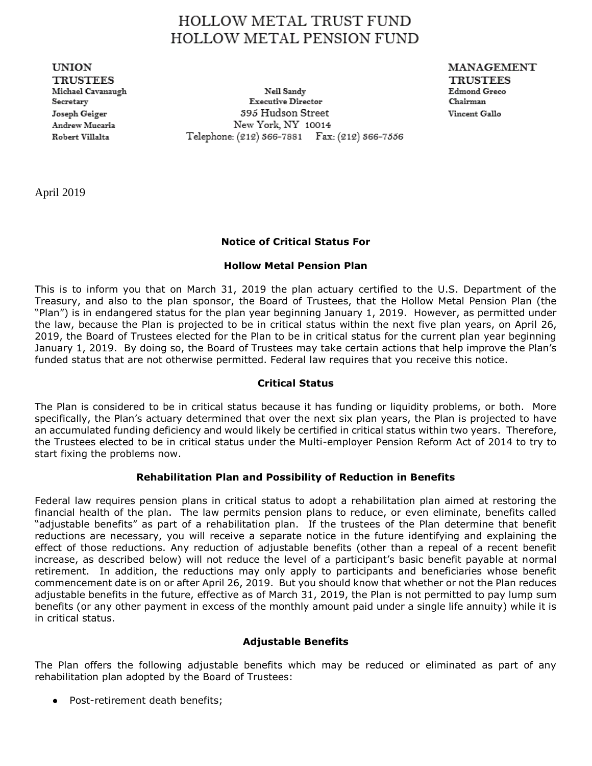# HOLLOW METAL TRUST FUND **HOLLOW METAL PENSION FUND**

**UNION TRUSTEES** Michael Cavanaugh Secretary Joseph Geiger Andrew Mucaria Robert Villalta

Neil Sandy **Executive Director** 395 Hudson Street New York, NY 10014 Telephone: (212) 366-7881 Fax: (212) 366-7556 MANAGEMENT **TRUSTEES Edmond Greco** Chairman Vincent Gallo

April 2019

# **Notice of Critical Status For**

## **Hollow Metal Pension Plan**

This is to inform you that on March 31, 2019 the plan actuary certified to the U.S. Department of the Treasury, and also to the plan sponsor, the Board of Trustees, that the Hollow Metal Pension Plan (the "Plan") is in endangered status for the plan year beginning January 1, 2019. However, as permitted under the law, because the Plan is projected to be in critical status within the next five plan years, on April 26, 2019, the Board of Trustees elected for the Plan to be in critical status for the current plan year beginning January 1, 2019. By doing so, the Board of Trustees may take certain actions that help improve the Plan's funded status that are not otherwise permitted. Federal law requires that you receive this notice.

### **Critical Status**

The Plan is considered to be in critical status because it has funding or liquidity problems, or both. More specifically, the Plan's actuary determined that over the next six plan years, the Plan is projected to have an accumulated funding deficiency and would likely be certified in critical status within two years. Therefore, the Trustees elected to be in critical status under the Multi-employer Pension Reform Act of 2014 to try to start fixing the problems now.

#### **Rehabilitation Plan and Possibility of Reduction in Benefits**

Federal law requires pension plans in critical status to adopt a rehabilitation plan aimed at restoring the financial health of the plan. The law permits pension plans to reduce, or even eliminate, benefits called "adjustable benefits" as part of a rehabilitation plan. If the trustees of the Plan determine that benefit reductions are necessary, you will receive a separate notice in the future identifying and explaining the effect of those reductions. Any reduction of adjustable benefits (other than a repeal of a recent benefit increase, as described below) will not reduce the level of a participant's basic benefit payable at normal retirement. In addition, the reductions may only apply to participants and beneficiaries whose benefit commencement date is on or after April 26, 2019. But you should know that whether or not the Plan reduces adjustable benefits in the future, effective as of March 31, 2019, the Plan is not permitted to pay lump sum benefits (or any other payment in excess of the monthly amount paid under a single life annuity) while it is in critical status.

#### **Adjustable Benefits**

The Plan offers the following adjustable benefits which may be reduced or eliminated as part of any rehabilitation plan adopted by the Board of Trustees:

● Post-retirement death benefits;